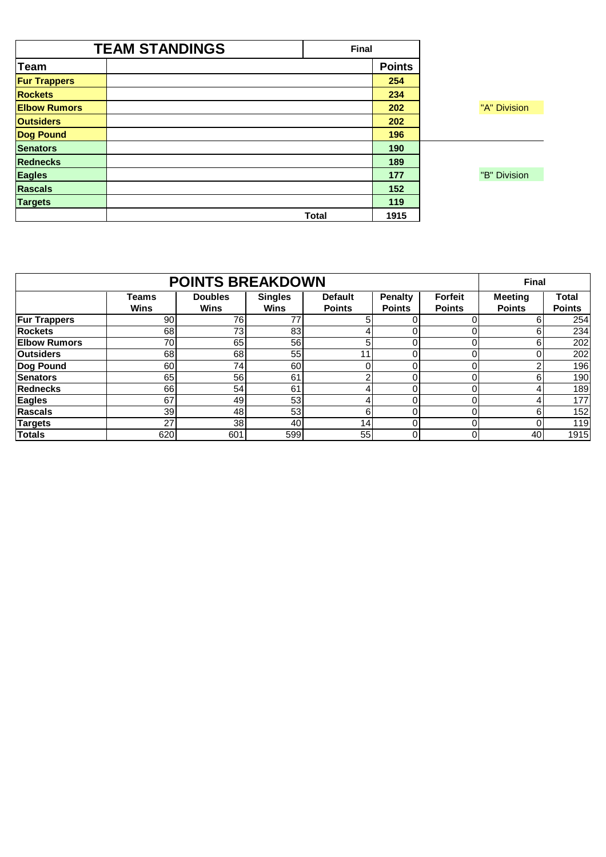|                     | <b>TEAM STANDINGS</b> | <b>Final</b> |               |              |  |
|---------------------|-----------------------|--------------|---------------|--------------|--|
| <b>Team</b>         |                       |              | <b>Points</b> |              |  |
| <b>Fur Trappers</b> |                       |              | 254           |              |  |
| <b>Rockets</b>      |                       |              | 234           |              |  |
| <b>Elbow Rumors</b> |                       |              | 202           | "A" Division |  |
| <b>Outsiders</b>    |                       |              | 202           |              |  |
| <b>Dog Pound</b>    |                       |              | 196           |              |  |
| <b>Senators</b>     |                       |              | 190           |              |  |
| <b>Rednecks</b>     |                       |              | 189           |              |  |
| <b>Eagles</b>       |                       |              | 177           | "B" Division |  |
| <b>Rascals</b>      |                       |              | 152           |              |  |
| <b>Targets</b>      |                       |              | 119           |              |  |
|                     |                       | <b>Total</b> | 1915          |              |  |

|                     |                      | <b>POINTS BREAKDOWN</b>       |                               |                                 |                                 |                                 | <b>Final</b>                    |                        |
|---------------------|----------------------|-------------------------------|-------------------------------|---------------------------------|---------------------------------|---------------------------------|---------------------------------|------------------------|
|                     | <b>Teams</b><br>Wins | <b>Doubles</b><br><b>Wins</b> | <b>Singles</b><br><b>Wins</b> | <b>Default</b><br><b>Points</b> | <b>Penalty</b><br><b>Points</b> | <b>Forfeit</b><br><b>Points</b> | <b>Meeting</b><br><b>Points</b> | Total<br><b>Points</b> |
| <b>Fur Trappers</b> | 90                   | 76                            | 77                            | h.                              |                                 |                                 | 6                               | 254                    |
| <b>Rockets</b>      | 68                   | 73                            | 83                            |                                 |                                 |                                 | 6                               | 234                    |
| <b>Elbow Rumors</b> | 70                   | 65                            | 56                            | 5                               |                                 |                                 | 6                               | 202                    |
| <b>Outsiders</b>    | 68                   | 68                            | 55                            | 11                              |                                 |                                 | 0                               | 202                    |
| Dog Pound           | 60                   | 74                            | 60                            |                                 |                                 |                                 | っ                               | 196                    |
| <b>Senators</b>     | 65                   | 56                            | 61                            | ⌒                               |                                 |                                 | 6                               | 190                    |
| <b>Rednecks</b>     | 66                   | 54                            | 61                            |                                 |                                 |                                 | 4                               | 189                    |
| <b>Eagles</b>       | 67                   | 49                            | 53                            |                                 |                                 |                                 | 4                               | 177                    |
| <b>Rascals</b>      | 39                   | 48                            | 53                            | 6                               |                                 |                                 | 6                               | 152                    |
| <b>Targets</b>      | 27                   | 38                            | 40                            | 14                              |                                 |                                 |                                 | 119                    |
| <b>Totals</b>       | 620                  | 601                           | 599                           | 55                              |                                 |                                 | 40                              | 1915                   |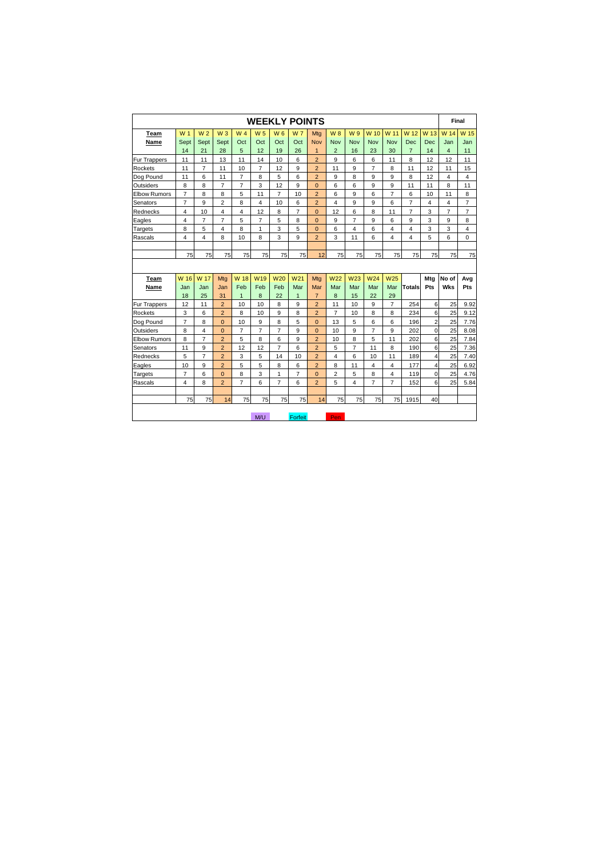|                     |                |                |                         |                         |                 |                 | <b>WEEKLY POINTS</b> |                |                         |                         |                 |                 |                |                         | Final                   |                |
|---------------------|----------------|----------------|-------------------------|-------------------------|-----------------|-----------------|----------------------|----------------|-------------------------|-------------------------|-----------------|-----------------|----------------|-------------------------|-------------------------|----------------|
| Team                | W <sub>1</sub> | W <sub>2</sub> | W <sub>3</sub>          | W <sub>4</sub>          | W <sub>5</sub>  | $W_6$           | W <sub>7</sub>       | Mtg            | <b>W8</b>               | W 9                     | W <sub>10</sub> | W 11            | W 12           | W 13                    | W 14                    | W 15           |
| Name                | Sept           | Sept           | Sept                    | Oct                     | Oct             | Oct             | Oct                  | <b>Nov</b>     | Nov                     | Nov                     | Nov             | Nov             | Dec            | Dec                     | Jan                     | Jan            |
|                     | 14             | 21             | 28                      | 5                       | 12              | 19              | 26                   | $\mathbf{1}$   | $\overline{2}$          | 16                      | 23              | 30              | $\overline{7}$ | 14                      | $\overline{4}$          | 11             |
| Fur Trappers        | 11             | 11             | 13                      | 11                      | 14              | 10              | 6                    | $\overline{2}$ | 9                       | 6                       | 6               | 11              | 8              | 12                      | 12                      | 11             |
| Rockets             | 11             | $\overline{7}$ | 11                      | 10                      | $\overline{7}$  | 12              | 9                    | $\overline{2}$ | 11                      | 9                       | $\overline{7}$  | 8               | 11             | 12                      | 11                      | 15             |
| Dog Pound           | 11             | 6              | 11                      | $\overline{7}$          | 8               | 5               | 6                    | $\overline{2}$ | 9                       | 8                       | 9               | 9               | 8              | 12                      | $\overline{4}$          | 4              |
| Outsiders           | 8              | 8              | $\overline{7}$          | $\overline{7}$          | 3               | 12              | 9                    | $\overline{0}$ | 6                       | 6                       | 9               | 9               | 11             | 11                      | 8                       | 11             |
| <b>Elbow Rumors</b> | $\overline{7}$ | 8              | 8                       | 5                       | 11              | $\overline{7}$  | 10                   | $\overline{2}$ | 6                       | 9                       | 6               | $\overline{7}$  | 6              | 10                      | 11                      | 8              |
| Senators            | $\overline{7}$ | 9              | $\overline{2}$          | 8                       | 4               | 10              | 6                    | $\overline{2}$ | 4                       | 9                       | 9               | 6               | $\overline{7}$ | $\overline{\mathbf{4}}$ | $\overline{\mathbf{4}}$ | $\overline{7}$ |
| Rednecks            | $\overline{4}$ | 10             | 4                       | $\overline{\mathbf{4}}$ | 12              | 8               | $\overline{7}$       | $\Omega$       | 12                      | 6                       | 8               | 11              | $\overline{7}$ | 3                       | $\overline{7}$          | $\overline{7}$ |
| Eagles              | $\overline{4}$ | $\overline{7}$ | $\overline{7}$          | 5                       | $\overline{7}$  | 5               | 8                    | $\overline{0}$ | 9                       | $\overline{7}$          | 9               | 6               | 9              | 3                       | 9                       | 8              |
| Targets             | 8              | 5              | $\overline{\mathbf{4}}$ | 8                       | $\mathbf{1}$    | 3               | 5                    | $\overline{0}$ | 6                       | $\overline{\mathbf{4}}$ | 6               | 4               | 4              | 3                       | 3                       | 4              |
| Rascals             | $\overline{4}$ | 4              | 8                       | 10                      | 8               | 3               | 9                    | $\overline{2}$ | 3                       | 11                      | 6               | 4               | 4              | 5                       | 6                       | $\Omega$       |
|                     |                |                |                         |                         |                 |                 |                      |                |                         |                         |                 |                 |                |                         |                         |                |
|                     | 75             | 75             | 75                      | 75                      | 75              | 75              | 75                   | 12             | 75                      | 75                      | 75              | 75              | 75             | 75                      | 75                      | 75             |
|                     |                |                |                         |                         |                 |                 |                      |                |                         |                         |                 |                 |                |                         |                         |                |
| Team                | W 16           | W 17           | Mtg                     | W 18                    | W <sub>19</sub> | W <sub>20</sub> | W <sub>21</sub>      | Mtg            | W <sub>22</sub>         | W <sub>23</sub>         | W <sub>24</sub> | W <sub>25</sub> |                | Mtg                     | No of                   | Avg            |
| Name                | Jan            | Jan            | Jan                     | Feb                     | Feb             | Feb             | Mar                  | Mar            | Mar                     | Mar                     | Mar             | Mar             | <b>Totals</b>  | Pts                     | Wks                     | Pts            |
|                     | 18             | 25             | 31                      | $\mathbf{1}$            | 8               | 22              | $\mathbf{1}$         | $\overline{7}$ | 8                       | 15                      | 22              | 29              |                |                         |                         |                |
| Fur Trappers        | 12             | 11             | $\overline{2}$          | 10                      | 10              | 8               | 9                    | $\overline{2}$ | 11                      | 10                      | 9               | $\overline{7}$  | 254            | 6                       | 25                      | 9.92           |
| Rockets             | 3              | 6              | $\overline{2}$          | 8                       | 10              | 9               | 8                    | $\overline{2}$ | $\overline{7}$          | 10                      | 8               | 8               | 234            | 6                       | 25                      | 9.12           |
| Dog Pound           | $\overline{7}$ | 8              | $\overline{0}$          | 10                      | 9               | 8               | 5                    | $\overline{0}$ | 13                      | 5                       | 6               | 6               | 196            | $\overline{\mathbf{c}}$ | 25                      | 7.76           |
| Outsiders           | 8              | 4              | $\overline{0}$          | $\overline{7}$          | $\overline{7}$  | $\overline{7}$  | 9                    | $\overline{0}$ | 10                      | 9                       | $\overline{7}$  | 9               | 202            | $\mathbf 0$             | 25                      | 8.08           |
| <b>Elbow Rumors</b> | 8              | $\overline{7}$ | $\overline{2}$          | 5                       | 8               | 6               | 9                    | $\overline{2}$ | 10                      | 8                       | 5               | 11              | 202            | 6                       | 25                      | 7.84           |
| Senators            | 11             | 9              | $\overline{2}$          | 12                      | 12              | $\overline{7}$  | 6                    | $\overline{2}$ | 5                       | $\overline{7}$          | 11              | 8               | 190            | 6                       | 25                      | 7.36           |
| Rednecks            | 5              | $\overline{7}$ | $\overline{2}$          | 3                       | 5               | 14              | 10                   | $\overline{2}$ | $\overline{\mathbf{4}}$ | 6                       | 10              | 11              | 189            | 4                       | 25                      | 7.40           |
| Eagles              | 10             | 9              | $\overline{2}$          | 5                       | 5               | 8               | 6                    | $\overline{2}$ | 8                       | 11                      | $\overline{4}$  | 4               | 177            | $\overline{4}$          | 25                      | 6.92           |
| Targets             | $\overline{7}$ | 6              | $\overline{0}$          | 8                       | 3               | 1               | $\overline{7}$       | $\overline{0}$ | $\overline{2}$          | 5                       | 8               | $\overline{4}$  | 119            | $\mathbf 0$             | 25                      | 4.76           |
| Rascals             | 4              | 8              | $\overline{2}$          | $\overline{7}$          | 6               | $\overline{7}$  | 6                    | $\overline{2}$ | 5                       | $\overline{\mathbf{4}}$ | $\overline{7}$  | $\overline{7}$  | 152            | 6                       | 25                      | 5.84           |
|                     |                |                |                         |                         |                 |                 |                      |                |                         |                         |                 |                 |                |                         |                         |                |
|                     | 75             | 75             | 14                      | 75                      | 75              | 75              | 75                   | 14             | 75                      | 75                      | 75              | 75              | 1915           | 40                      |                         |                |
|                     |                |                |                         |                         | M/U             |                 | Forfeit              |                | Pen                     |                         |                 |                 |                |                         |                         |                |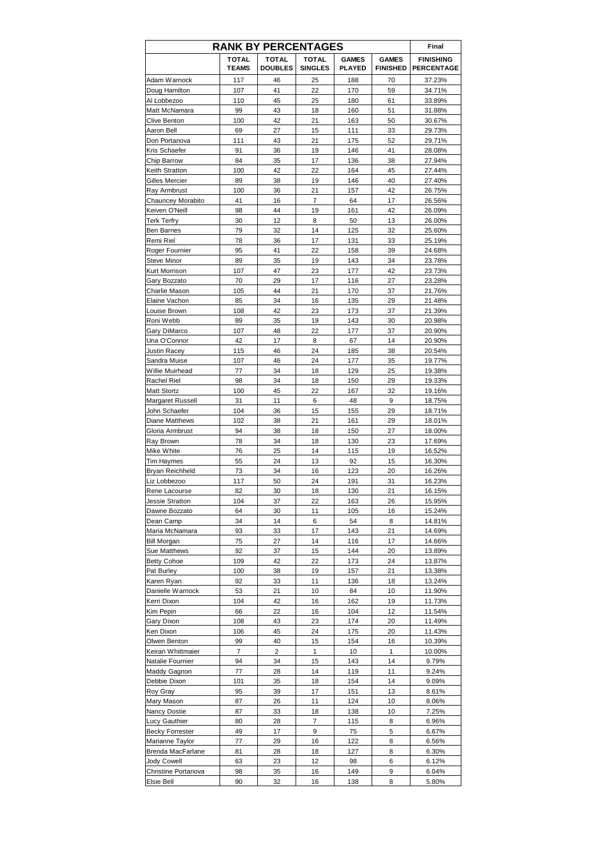| <b>RANK BY PERCENTAGES</b>           |                              | Final                          |                         |                               |                                 |                                       |
|--------------------------------------|------------------------------|--------------------------------|-------------------------|-------------------------------|---------------------------------|---------------------------------------|
|                                      | <b>TOTAL</b><br><b>TEAMS</b> | <b>TOTAL</b><br><b>DOUBLES</b> | TOTAL<br><b>SINGLES</b> | <b>GAMES</b><br><b>PLAYED</b> | <b>GAMES</b><br><b>FINISHED</b> | <b>FINISHING</b><br><b>PERCENTAGE</b> |
| Adam Warnock                         | 117                          | 46                             | 25                      | 188                           | 70                              | 37.23%                                |
| Doug Hamilton                        | 107                          | 41                             | 22                      | 170                           | 59                              | 34.71%                                |
| Al Lobbezoo<br>Matt McNamara         | 110<br>99                    | 45<br>43                       | 25<br>18                | 180<br>160                    | 61<br>51                        | 33.89%<br>31.88%                      |
| <b>Clive Benton</b>                  | 100                          | 42                             | 21                      | 163                           | 50                              | 30.67%                                |
| Aaron Bell                           | 69                           | 27                             | 15                      | 111                           | 33                              | 29.73%                                |
| Don Portanova                        | 111                          | 43                             | 21                      | 175                           | 52                              | 29.71%                                |
| Kris Schaefer                        | 91                           | 36                             | 19                      | 146                           | 41                              | 28.08%                                |
| Chip Barrow                          | 84                           | 35                             | 17                      | 136                           | 38                              | 27.94%                                |
| Keith Stratton                       | 100                          | 42                             | 22                      | 164                           | 45                              | 27.44%                                |
| Gilles Mercier<br>Ray Armbrust       | 89<br>100                    | 38<br>36                       | 19<br>21                | 146                           | 40<br>42                        | 27.40%<br>26.75%                      |
| Chauncey Morabito                    | 41                           | 16                             | 7                       | 157<br>64                     | 17                              | 26.56%                                |
| Keiven O'Neill                       | 98                           | 44                             | 19                      | 161                           | 42                              | 26.09%                                |
| <b>Terk Terfry</b>                   | 30                           | 12                             | 8                       | 50                            | 13                              | 26.00%                                |
| <b>Ben Barnes</b>                    | 79                           | 32                             | 14                      | 125                           | 32                              | 25.60%                                |
| Remi Riel                            | 78                           | 36                             | 17                      | 131                           | 33                              | 25.19%                                |
| Roger Fournier                       | 95                           | 41                             | 22                      | 158                           | 39                              | 24.68%                                |
| <b>Steve Minor</b>                   | 89                           | 35                             | 19                      | 143                           | 34                              | 23.78%                                |
| <b>Kurt Morrison</b><br>Gary Bozzato | 107<br>70                    | 47<br>29                       | 23<br>17                | 177<br>116                    | 42<br>27                        | 23.73%<br>23.28%                      |
| Charlie Mason                        | 105                          | 44                             | 21                      | 170                           | 37                              | 21.76%                                |
| Elaine Vachon                        | 85                           | 34                             | 16                      | 135                           | 29                              | 21.48%                                |
| Louise Brown                         | 108                          | 42                             | 23                      | 173                           | 37                              | 21.39%                                |
| Roni Webb                            | 89                           | 35                             | 19                      | 143                           | 30                              | 20.98%                                |
| Gary DiMarco                         | 107                          | 48                             | 22                      | 177                           | 37                              | 20.90%                                |
| Una O'Connor                         | 42                           | 17                             | 8                       | 67                            | 14                              | 20.90%                                |
| Justin Racey                         | 115                          | 46                             | 24                      | 185                           | 38                              | 20.54%                                |
| Sandra Muise<br>Willie Muirhead      | 107<br>77                    | 46<br>34                       | 24<br>18                | 177<br>129                    | 35<br>25                        | 19.77%                                |
| Rachel Riel                          | 98                           | 34                             | 18                      | 150                           | 29                              | 19.38%<br>19.33%                      |
| <b>Matt Stortz</b>                   | 100                          | 45                             | 22                      | 167                           | 32                              | 19.16%                                |
| Margaret Russell                     | 31                           | 11                             | 6                       | 48                            | 9                               | 18.75%                                |
| John Schaefer                        | 104                          | 36                             | 15                      | 155                           | 29                              | 18.71%                                |
| Diane Matthews                       | 102                          | 38                             | 21                      | 161                           | 29                              | 18.01%                                |
| Gloria Armbrust                      | 94                           | 38                             | 18                      | 150                           | 27                              | 18.00%                                |
| Ray Brown<br>Mike White              | 78                           | 34                             | 18                      | 130                           | 23                              | 17.69%                                |
| Tim Haymes                           | 76<br>55                     | 25<br>24                       | 14<br>13                | 115<br>92                     | 19<br>15                        | 16.52%<br>16.30%                      |
| <b>Bryan Reichheld</b>               | 73                           | 34                             | 16                      | 123                           | 20                              | 16.26%                                |
| Liz Lobbezoo                         | 117                          | 50                             | 24                      | 191                           | 31                              | 16.23%                                |
| Rene Lacourse                        | 82                           | 30                             | 18                      | 130                           | 21                              | 16.15%                                |
| Jessie Stratton                      | 104                          | 37                             | 22                      | 163                           | 26                              | 15.95%                                |
| Dawne Bozzato                        | 64                           | 30                             | 11                      | 105                           | 16                              | 15.24%                                |
| Dean Camp                            | 34                           | 14                             | 6                       | 54                            | 8                               | 14.81%                                |
| Maria McNamara<br><b>Bill Morgan</b> | 93<br>75                     | 33<br>27                       | 17<br>14                | 143<br>116                    | 21<br>17                        | 14.69%<br>14.66%                      |
| Sue Matthews                         | 92                           | 37                             | 15                      | 144                           | 20                              | 13.89%                                |
| <b>Betty Cohoe</b>                   | 109                          | 42                             | 22                      | 173                           | 24                              | 13.87%                                |
| Pat Burley                           | 100                          | 38                             | 19                      | 157                           | 21                              | 13.38%                                |
| Karen Ryan                           | 92                           | 33                             | 11                      | 136                           | 18                              | 13.24%                                |
| Danielle Warnock                     | 53                           | 21                             | 10                      | 84                            | 10                              | 11.90%                                |
| Kerri Dixon                          | 104                          | 42                             | 16                      | 162                           | 19                              | 11.73%                                |
| Kim Pepin                            | 66                           | 22                             | 16                      | 104                           | 12                              | 11.54%                                |
| Gary Dixon<br>Ken Dixon              | 108<br>106                   | 43<br>45                       | 23<br>24                | 174<br>175                    | 20<br>20                        | 11.49%<br>11.43%                      |
| Olwen Benton                         | 99                           | 40                             | 15                      | 154                           | 16                              | 10.39%                                |
| Keiran Whittmaier                    | 7                            | 2                              | 1                       | 10                            | 1                               | 10.00%                                |
| Natalie Fournier                     | 94                           | 34                             | 15                      | 143                           | 14                              | 9.79%                                 |
| Maddy Gagnon                         | 77                           | 28                             | 14                      | 119                           | 11                              | 9.24%                                 |
| Debbie Dixon                         | 101                          | 35                             | 18                      | 154                           | 14                              | 9.09%                                 |
| Roy Gray                             | 95                           | 39                             | 17                      | 151                           | 13                              | 8.61%                                 |
| Mary Mason                           | 87                           | 26                             | 11                      | 124                           | 10                              | 8.06%                                 |
| Nancy Dostie<br>Lucy Gauthier        | 87<br>80                     | 33<br>28                       | 18<br>7                 | 138<br>115                    | 10<br>8                         | 7.25%<br>6.96%                        |
| <b>Becky Forrester</b>               | 49                           | 17                             | 9                       | 75                            | 5                               | 6.67%                                 |
| Marianne Taylor                      | 77                           | 29                             | 16                      | 122                           | 8                               | 6.56%                                 |
| Brenda MacFarlane                    | 81                           | 28                             | 18                      | 127                           | 8                               | 6.30%                                 |
| Jody Cowell                          | 63                           | 23                             | 12                      | 98                            | 6                               | 6.12%                                 |
| Christine Portanova                  | 98                           | 35                             | 16                      | 149                           | 9                               | 6.04%                                 |
| Elsie Bell                           | 90                           | 32                             | 16                      | 138                           | 8                               | 5.80%                                 |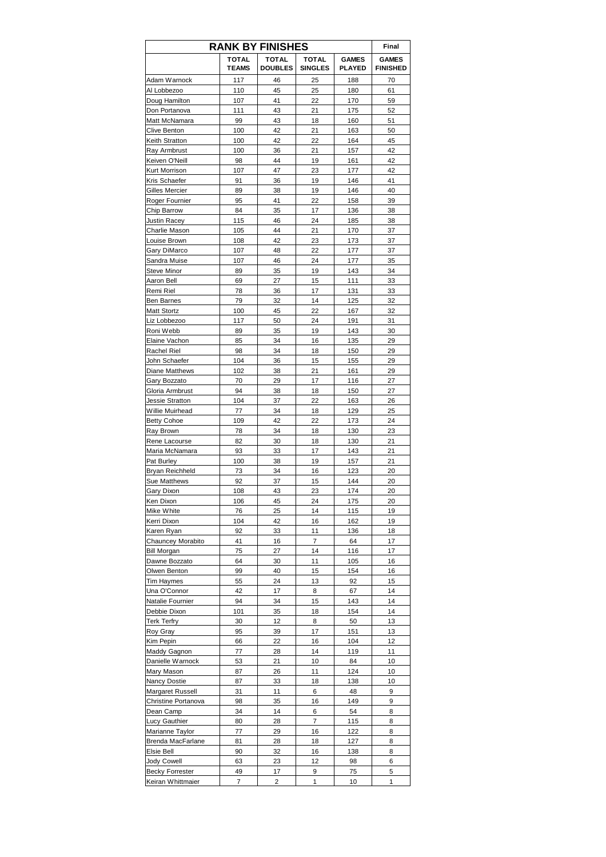|                                    |                       | <b>RANK BY FINISHES</b> |                                |                               | Final                           |
|------------------------------------|-----------------------|-------------------------|--------------------------------|-------------------------------|---------------------------------|
|                                    | TOTAL<br><b>TEAMS</b> | TOTAL<br><b>DOUBLES</b> | <b>TOTAL</b><br><b>SINGLES</b> | <b>GAMES</b><br><b>PLAYED</b> | <b>GAMES</b><br><b>FINISHED</b> |
| Adam Warnock                       | 117                   | 46                      | 25                             | 188                           | 70                              |
| Al Lobbezoo                        | 110                   | 45                      | 25                             | 180                           | 61                              |
| Doug Hamilton                      | 107                   | 41                      | 22                             | 170                           | 59                              |
| Don Portanova                      | 111                   | 43                      | 21                             | 175                           | 52                              |
| Matt McNamara                      | 99<br>100             | 43<br>42                | 18<br>21                       | 160<br>163                    | 51<br>50                        |
| Clive Benton<br>Keith Stratton     | 100                   | 42                      | 22                             | 164                           | 45                              |
| Ray Armbrust                       | 100                   | 36                      | 21                             | 157                           | 42                              |
| Keiven O'Neill                     | 98                    | 44                      | 19                             | 161                           | 42                              |
| <b>Kurt Morrison</b>               | 107                   | 47                      | 23                             | 177                           | 42                              |
| Kris Schaefer                      | 91                    | 36                      | 19                             | 146                           | 41                              |
| Gilles Mercier                     | 89                    | 38                      | 19                             | 146                           | 40                              |
| Roger Fournier                     | 95                    | 41                      | 22                             | 158                           | 39                              |
| Chip Barrow                        | 84                    | 35                      | 17                             | 136                           | 38                              |
| <b>Justin Racey</b>                | 115                   | 46                      | 24                             | 185                           | 38                              |
| Charlie Mason                      | 105                   | 44                      | 21                             | 170                           | 37                              |
| Louise Brown                       | 108                   | 42                      | 23                             | 173                           | 37                              |
| Gary DiMarco                       | 107                   | 48                      | 22                             | 177                           | 37                              |
| Sandra Muise<br><b>Steve Minor</b> | 107<br>89             | 46<br>35                | 24<br>19                       | 177<br>143                    | 35<br>34                        |
| Aaron Bell                         | 69                    | 27                      | 15                             | 111                           | 33                              |
| Remi Riel                          | 78                    | 36                      | 17                             | 131                           | 33                              |
| <b>Ben Barnes</b>                  | 79                    | 32                      | 14                             | 125                           | 32                              |
| <b>Matt Stortz</b>                 | 100                   | 45                      | 22                             | 167                           | 32                              |
| Liz Lobbezoo                       | 117                   | 50                      | 24                             | 191                           | 31                              |
| Roni Webb                          | 89                    | 35                      | 19                             | 143                           | 30                              |
| Elaine Vachon                      | 85                    | 34                      | 16                             | 135                           | 29                              |
| Rachel Riel                        | 98                    | 34                      | 18                             | 150                           | 29                              |
| John Schaefer                      | 104                   | 36                      | 15                             | 155                           | 29                              |
| Diane Matthews                     | 102                   | 38                      | 21                             | 161                           | 29                              |
| Gary Bozzato                       | 70                    | 29                      | 17                             | 116                           | 27                              |
| Gloria Armbrust                    | 94                    | 38                      | 18                             | 150                           | 27                              |
| Jessie Stratton                    | 104                   | 37                      | 22                             | 163                           | 26                              |
| Willie Muirhead                    | 77                    | 34                      | 18                             | 129                           | 25                              |
| <b>Betty Cohoe</b>                 | 109                   | 42                      | 22                             | 173                           | 24                              |
| Ray Brown                          | 78<br>82              | 34<br>30                | 18<br>18                       | 130<br>130                    | 23<br>21                        |
| Rene Lacourse<br>Maria McNamara    | 93                    | 33                      | 17                             | 143                           | 21                              |
| Pat Burley                         | 100                   | 38                      | 19                             | 157                           | 21                              |
| Bryan Reichheld                    | 73                    | 34                      | 16                             | 123                           | 20                              |
| Sue Matthews                       | 92                    | 37                      | 15                             | 144                           | 20                              |
| Gary Dixon                         | 108                   | 43                      | 23                             | 174                           | 20                              |
| Ken Dixon                          | 106                   | 45                      | 24                             | 175                           | 20                              |
| Mike White                         | 76                    | 25                      | 14                             | 115                           | 19                              |
| Kerri Dixon                        | 104                   | 42                      | 16                             | 162                           | 19                              |
| Karen Ryan                         | 92                    | 33                      | 11                             | 136                           | 18                              |
| Chauncey Morabito                  | 41                    | 16                      | 7                              | 64                            | 17                              |
| <b>Bill Morgan</b>                 | 75                    | 27                      | 14                             | 116                           | 17                              |
| Dawne Bozzato                      | 64                    | 30                      | 11                             | 105                           | 16                              |
| Olwen Benton                       | 99<br>55              | 40<br>24                | 15<br>13                       | 154<br>92                     | 16<br>15                        |
| Tim Haymes<br>Una O'Connor         | 42                    | 17                      | 8                              | 67                            | 14                              |
| Natalie Fournier                   | 94                    | 34                      | 15                             | 143                           | 14                              |
| Debbie Dixon                       | 101                   | 35                      | 18                             | 154                           | 14                              |
| <b>Terk Terfry</b>                 | 30                    | 12                      | 8                              | 50                            | 13                              |
| Roy Gray                           | 95                    | 39                      | 17                             | 151                           | 13                              |
| Kim Pepin                          | 66                    | 22                      | 16                             | 104                           | 12                              |
| Maddy Gagnon                       | 77                    | 28                      | 14                             | 119                           | 11                              |
| Danielle Warnock                   | 53                    | 21                      | 10                             | 84                            | 10                              |
| Mary Mason                         | 87                    | 26                      | 11                             | 124                           | 10                              |
| Nancy Dostie                       | 87                    | 33                      | 18                             | 138                           | 10                              |
| Margaret Russell                   | 31                    | 11                      | 6                              | 48                            | 9                               |
| Christine Portanova                | 98                    | 35                      | 16                             | 149                           | 9                               |
| Dean Camp                          | 34                    | 14                      | 6                              | 54                            | 8                               |
| Lucy Gauthier                      | 80                    | 28                      | 7                              | 115                           | 8                               |
| Marianne Taylor                    | 77                    | 29<br>28                | 16                             | 122                           | 8                               |
| Brenda MacFarlane<br>Elsie Bell    | 81<br>90              | 32                      | 18<br>16                       | 127<br>138                    | 8<br>8                          |
| Jody Cowell                        | 63                    | 23                      | 12                             | 98                            | 6                               |
| <b>Becky Forrester</b>             | 49                    | 17                      | 9                              | 75                            | 5                               |
| Keiran Whittmaier                  | 7                     | 2                       | 1                              | 10                            | 1                               |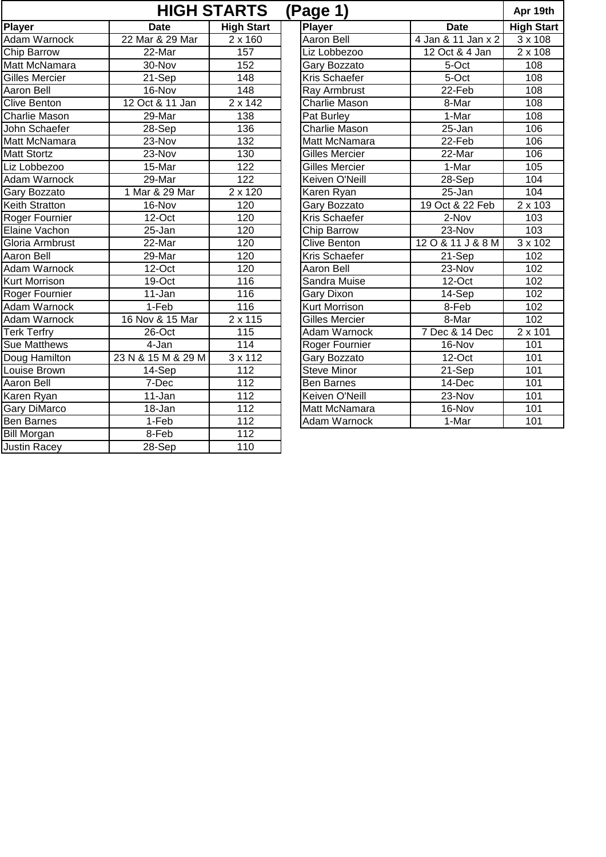|                       |                    | <b>HIGH STARTS</b>   | (Page 1)              |                                         | Apr 19th                  |
|-----------------------|--------------------|----------------------|-----------------------|-----------------------------------------|---------------------------|
| Player                | <b>Date</b>        | <b>High Start</b>    | <b>Player</b>         | <b>Date</b>                             | <b>High Start</b>         |
| <b>Adam Warnock</b>   | 22 Mar & 29 Mar    | 2 x 160              | <b>Aaron Bell</b>     | $\overline{4 \text{ Jan } 811}$ Jan x 2 | 3 x 108                   |
| Chip Barrow           | 22-Mar             | 157                  | Liz Lobbezoo          | 12 Oct & 4 Jan                          | 2 x 108                   |
| Matt McNamara         | 30-Nov             | 152                  | Gary Bozzato          | 5-Oct                                   | 108                       |
| <b>Gilles Mercier</b> | 21-Sep             | 148                  | <b>Kris Schaefer</b>  | 5-Oct                                   | 108                       |
| Aaron Bell            | 16-Nov             | $\overline{148}$     | Ray Armbrust          | 22-Feb                                  | 108                       |
| <b>Clive Benton</b>   | 12 Oct & 11 Jan    | 2 x 142              | <b>Charlie Mason</b>  | 8-Mar                                   | 108                       |
| <b>Charlie Mason</b>  | 29-Mar             | 138                  | Pat Burley            | 1-Mar                                   | 108                       |
| John Schaefer         | 28-Sep             | 136                  | <b>Charlie Mason</b>  | 25-Jan                                  | 106                       |
| Matt McNamara         | 23-Nov             | 132                  | Matt McNamara         | 22-Feb                                  | 106                       |
| <b>Matt Stortz</b>    | 23-Nov             | 130                  | <b>Gilles Mercier</b> | 22-Mar                                  | 10 <sub>6</sub>           |
| Liz Lobbezoo          | 15-Mar             | 122                  | <b>Gilles Mercier</b> | 1-Mar                                   | 105                       |
| Adam Warnock          | 29-Mar             | $\overline{122}$     | Keiven O'Neill        | 28-Sep                                  | 104                       |
| Gary Bozzato          | 1 Mar & 29 Mar     | 2 x 120              | Karen Ryan            | $25 - Jan$                              | 104                       |
| Keith Stratton        | 16-Nov             | 120                  | Gary Bozzato          | 19 Oct & 22 Feb                         | 2 x 103                   |
| Roger Fournier        | 12-Oct             | 120                  | <b>Kris Schaefer</b>  | 2-Nov                                   | 103                       |
| Elaine Vachon         | $25 - Jan$         | 120                  | Chip Barrow           | 23-Nov                                  | 103                       |
| Gloria Armbrust       | 22-Mar             | 120                  | <b>Clive Benton</b>   | 120&11J&8M                              | $\overline{3 \times 102}$ |
| <b>Aaron Bell</b>     | 29-Mar             | 120                  | <b>Kris Schaefer</b>  | 21-Sep                                  | 102                       |
| Adam Warnock          | 12-Oct             | 120                  | Aaron Bell            | 23-Nov                                  | 102                       |
| <b>Kurt Morrison</b>  | 19-Oct             | 116                  | Sandra Muise          | 12-Oct                                  | 102                       |
| Roger Fournier        | 11-Jan             | 116                  | Gary Dixon            | 14-Sep                                  | 102                       |
| <b>Adam Warnock</b>   | $1-Feb$            | 116                  | <b>Kurt Morrison</b>  | 8-Feb                                   | 102                       |
| <b>Adam Warnock</b>   | 16 Nov & 15 Mar    | 2 x 115              | <b>Gilles Mercier</b> | 8-Mar                                   | 102                       |
| <b>Terk Terfry</b>    | 26-Oct             | 115                  | <b>Adam Warnock</b>   | 7 Dec & 14 Dec                          | $2 \times 101$            |
| <b>Sue Matthews</b>   | 4-Jan              | 114                  | Roger Fournier        | 16-Nov                                  | 101                       |
| Doug Hamilton         | 23 N & 15 M & 29 M | $\overline{3}$ x 112 | Gary Bozzato          | 12-Oct                                  | 101                       |
| Louise Brown          | 14-Sep             | $\overline{112}$     | <b>Steve Minor</b>    | 21-Sep                                  | 101                       |
| Aaron Bell            | 7-Dec              | $\overline{112}$     | <b>Ben Barnes</b>     | 14-Dec                                  | 101                       |
| Karen Ryan            | 11-Jan             | 112                  | <b>Keiven O'Neill</b> | 23-Nov                                  | 101                       |
| <b>Gary DiMarco</b>   | 18-Jan             | $\overline{112}$     | Matt McNamara         | 16-Nov                                  | 101                       |
| <b>Ben Barnes</b>     | $1-Feb$            | 112                  | Adam Warnock          | 1-Mar                                   | 101                       |
| <b>Bill Morgan</b>    | 8-Feb              | 112                  |                       |                                         |                           |
| <b>Justin Racey</b>   | 28-Sep             | 110                  |                       |                                         |                           |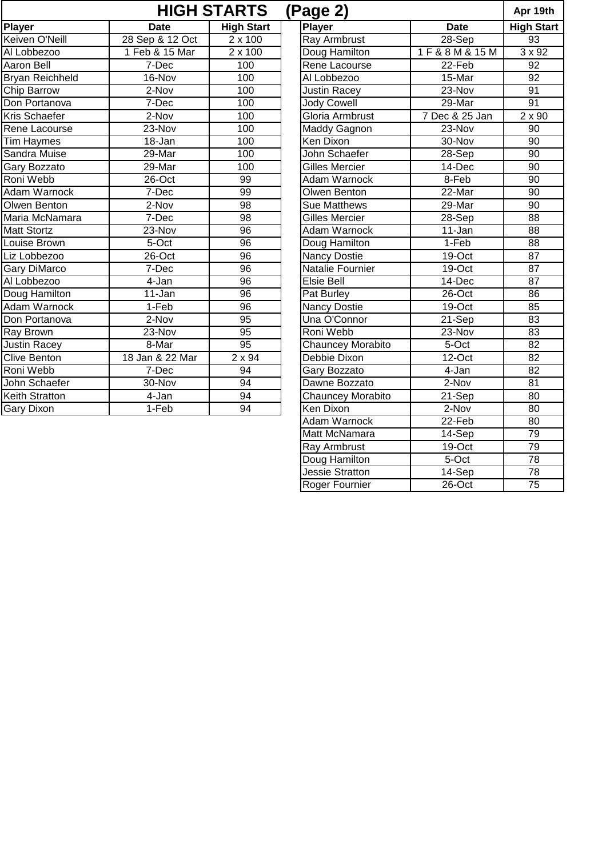|                        |                 | <b>HIGH STARTS</b>   | (Page 2)                 |                  | Apr 19th          |
|------------------------|-----------------|----------------------|--------------------------|------------------|-------------------|
| <b>Player</b>          | <b>Date</b>     | <b>High Start</b>    | <b>Player</b>            | <b>Date</b>      | <b>High Start</b> |
| Keiven O'Neill         | 28 Sep & 12 Oct | 2 x 100              | <b>Ray Armbrust</b>      | 28-Sep           | 93                |
| Al Lobbezoo            | 1 Feb & 15 Mar  | $\overline{2}$ x 100 | Doug Hamilton            | 1 F & 8 M & 15 M | $3 \times 92$     |
| <b>Aaron Bell</b>      | 7-Dec           | 100                  | Rene Lacourse            | $22-Feb$         | 92                |
| <b>Bryan Reichheld</b> | 16-Nov          | 100                  | Al Lobbezoo              | 15-Mar           | 92                |
| Chip Barrow            | 2-Nov           | 100                  | <b>Justin Racey</b>      | 23-Nov           | $\overline{91}$   |
| Don Portanova          | 7-Dec           | 100                  | <b>Jody Cowell</b>       | 29-Mar           | 91                |
| <b>Kris Schaefer</b>   | $2-Nov$         | 100                  | Gloria Armbrust          | 7 Dec & 25 Jan   | $2 \times 90$     |
| Rene Lacourse          | 23-Nov          | 100                  | Maddy Gagnon             | 23-Nov           | 90                |
| <b>Tim Haymes</b>      | 18-Jan          | 100                  | Ken Dixon                | 30-Nov           | $\overline{90}$   |
| Sandra Muise           | 29-Mar          | 100                  | John Schaefer            | 28-Sep           | $\overline{90}$   |
| Gary Bozzato           | 29-Mar          | 100                  | <b>Gilles Mercier</b>    | 14-Dec           | 90                |
| Roni Webb              | 26-Oct          | 99                   | Adam Warnock             | 8-Feb            | 90                |
| Adam Warnock           | 7-Dec           | 99                   | Olwen Benton             | 22-Mar           | 90                |
| Olwen Benton           | 2-Nov           | 98                   | <b>Sue Matthews</b>      | 29-Mar           | 90                |
| Maria McNamara         | 7-Dec           | 98                   | <b>Gilles Mercier</b>    | 28-Sep           | 88                |
| <b>Matt Stortz</b>     | 23-Nov          | 96                   | <b>Adam Warnock</b>      | 11-Jan           | 88                |
| Louise Brown           | 5-Oct           | 96                   | Doug Hamilton            | $1-Feb$          | 88                |
| Liz Lobbezoo           | $26$ -Oct       | $\overline{96}$      | <b>Nancy Dostie</b>      | $19$ -Oct        | $\overline{87}$   |
| Gary DiMarco           | 7-Dec           | $\overline{96}$      | Natalie Fournier         | $19$ -Oct        | $\overline{87}$   |
| Al Lobbezoo            | 4-Jan           | $\overline{96}$      | <b>Elsie Bell</b>        | 14-Dec           | 87                |
| Doug Hamilton          | 11-Jan          | $\overline{96}$      | Pat Burley               | 26-Oct           | 86                |
| <b>Adam Warnock</b>    | $1-Feb$         | $\overline{96}$      | <b>Nancy Dostie</b>      | 19-Oct           | 85                |
| Don Portanova          | $2-Nov$         | $\overline{95}$      | Una O'Connor             | 21-Sep           | $\overline{83}$   |
| Ray Brown              | 23-Nov          | $\overline{95}$      | Roni Webb                | 23-Nov           | 83                |
| <b>Justin Racey</b>    | 8-Mar           | 95                   | Chauncey Morabito        | 5-Oct            | 82                |
| <b>Clive Benton</b>    | 18 Jan & 22 Mar | $\overline{2}$ x 94  | Debbie Dixon             | 12-Oct           | 82                |
| Roni Webb              | 7-Dec           | 94                   | Gary Bozzato             | 4-Jan            | $\overline{82}$   |
| John Schaefer          | 30-Nov          | 94                   | Dawne Bozzato            | 2-Nov            | 81                |
| <b>Keith Stratton</b>  | 4-Jan           | 94                   | <b>Chauncey Morabito</b> | 21-Sep           | 80                |
| <b>Gary Dixon</b>      | 1-Feb           | 94                   | Ken Dixon                | 2-Nov            | 80                |
|                        |                 |                      | Adam Warnock             | 22-Feb           | 80                |
|                        |                 |                      | Matt McNamara            | 14-Sep           | 79                |

Ray Armbrust 19-Oct 1979 Doug Hamilton  $\vert$  5-Oct | 78 Jessie Stratton 14-Sep 78 Roger Fournier | 26-Oct | 75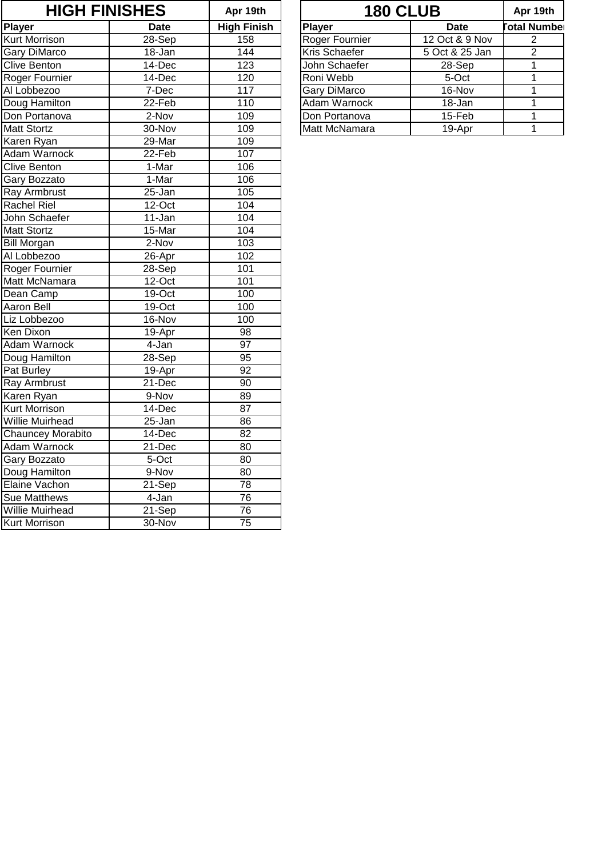| <b>HIGH FINISHES</b>     |             | Apr 19th           |                     | <b>180 CLUB</b> | Apr 19th       |
|--------------------------|-------------|--------------------|---------------------|-----------------|----------------|
| <b>Player</b>            | <b>Date</b> | <b>High Finish</b> | <b>Player</b>       | <b>Date</b>     | otal Number    |
| <b>Kurt Morrison</b>     | 28-Sep      | 158                | Roger Fournier      | 12 Oct & 9 Nov  | 2              |
| <b>Gary DiMarco</b>      | 18-Jan      | 144                | Kris Schaefer       | 5 Oct & 25 Jan  | $\overline{2}$ |
| <b>Clive Benton</b>      | 14-Dec      | 123                | John Schaefer       | 28-Sep          | $\overline{1}$ |
| Roger Fournier           | 14-Dec      | 120                | Roni Webb           | 5-Oct           | $\mathbf{1}$   |
| Al Lobbezoo              | 7-Dec       | $\overline{11}7$   | <b>Gary DiMarco</b> | 16-Nov          | $\mathbf{1}$   |
| Doug Hamilton            | 22-Feb      | 110                | <b>Adam Warnock</b> | 18-Jan          | 1              |
| Don Portanova            | 2-Nov       | 109                | Don Portanova       | 15-Feb          | 1              |
| <b>Matt Stortz</b>       | 30-Nov      | 109                | Matt McNamara       | 19-Apr          | $\mathbf{1}$   |
| Karen Ryan               | 29-Mar      | 109                |                     |                 |                |
| Adam Warnock             | 22-Feb      | 107                |                     |                 |                |
| <b>Clive Benton</b>      | 1-Mar       | 106                |                     |                 |                |
| <b>Gary Bozzato</b>      | 1-Mar       | 106                |                     |                 |                |
| Ray Armbrust             | 25-Jan      | 105                |                     |                 |                |
| <b>Rachel Riel</b>       | 12-Oct      | 104                |                     |                 |                |
| John Schaefer            | 11-Jan      | 104                |                     |                 |                |
| <b>Matt Stortz</b>       | 15-Mar      | 104                |                     |                 |                |
| <b>Bill Morgan</b>       | $2-Nov$     | 103                |                     |                 |                |
| Al Lobbezoo              | 26-Apr      | 102                |                     |                 |                |
| Roger Fournier           | 28-Sep      | 101                |                     |                 |                |
| Matt McNamara            | 12-Oct      | 101                |                     |                 |                |
| Dean Camp                | 19-Oct      | 100                |                     |                 |                |
| Aaron Bell               | 19-Oct      | 100                |                     |                 |                |
| Liz Lobbezoo             | 16-Nov      | 100                |                     |                 |                |
| Ken Dixon                | 19-Apr      | 98                 |                     |                 |                |
| <b>Adam Warnock</b>      | 4-Jan       | $\overline{97}$    |                     |                 |                |
| Doug Hamilton            | $28-Sep$    | $\overline{95}$    |                     |                 |                |
| Pat Burley               | 19-Apr      | 92                 |                     |                 |                |
| Ray Armbrust             | 21-Dec      | $\overline{90}$    |                     |                 |                |
| Karen Ryan               | 9-Nov       | 89                 |                     |                 |                |
| <b>Kurt Morrison</b>     | 14-Dec      | $\overline{87}$    |                     |                 |                |
| <b>Willie Muirhead</b>   | $25 - Jan$  | 86                 |                     |                 |                |
| <b>Chauncey Morabito</b> | 14-Dec      | 82                 |                     |                 |                |
| Adam Warnock             | 21-Dec      | 80                 |                     |                 |                |
| Gary Bozzato             | 5-Oct       | $\overline{80}$    |                     |                 |                |
| Doug Hamilton            | 9-Nov       | 80                 |                     |                 |                |
| Elaine Vachon            | 21-Sep      | 78                 |                     |                 |                |
| Sue Matthews             | 4-Jan       | $\overline{76}$    |                     |                 |                |
| <b>Willie Muirhead</b>   | 21-Sep      | 76                 |                     |                 |                |
| <b>Kurt Morrison</b>     | 30-Nov      | $\overline{75}$    |                     |                 |                |

|        | <b>HIGH FINISHES</b> |                    | <b>180 CLUB</b>     | Apr 19th       |                     |
|--------|----------------------|--------------------|---------------------|----------------|---------------------|
|        | <b>Date</b>          | <b>High Finish</b> | Player              | <b>Date</b>    | <b>Total Number</b> |
| ison   | 28-Sep               | 158                | Roger Fournier      | 12 Oct & 9 Nov |                     |
| arco   | 18-Jan               | 144                | Kris Schaefer       | 5 Oct & 25 Jan | 2                   |
| ıton⊹  | 14-Dec               | 123                | John Schaefer       | 28-Sep         |                     |
| urnier | 14-Dec               | 120                | Roni Webb           | 5-Oct          |                     |
| ZOO.   | 7-Dec                | 117                | <b>Gary DiMarco</b> | 16-Nov         |                     |
| milton | 22-Feb               | 110                | Adam Warnock        | 18-Jan         |                     |
| anova  | 2-Nov                | 109                | Don Portanova       | 15-Feb         |                     |
| tz     | 30-Nov               | 109                | Matt McNamara       | 19-Apr         |                     |
|        |                      |                    |                     |                |                     |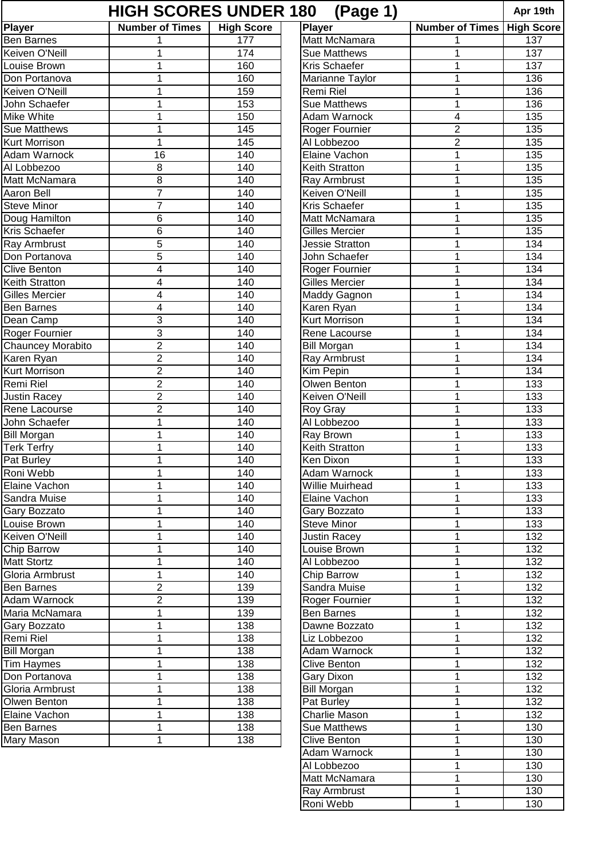| <b>HIGH SCORES UNDER 180</b><br>(Page 1)<br>Apr 19th |                        |                   |                                |                        |                   |  |  |  |
|------------------------------------------------------|------------------------|-------------------|--------------------------------|------------------------|-------------------|--|--|--|
| <b>Player</b>                                        | <b>Number of Times</b> | <b>High Score</b> | <b>Player</b>                  | <b>Number of Times</b> | <b>High Score</b> |  |  |  |
| <b>Ben Barnes</b>                                    |                        | 177               | Matt McNamara                  |                        | 137               |  |  |  |
| Keiven O'Neill                                       | 1                      | 174               | <b>Sue Matthews</b>            | 1                      | 137               |  |  |  |
| Louise Brown                                         | 1                      | 160               | <b>Kris Schaefer</b>           | 1                      | 137               |  |  |  |
| Don Portanova                                        | 1                      | 160               | Marianne Taylor                | 1                      | 136               |  |  |  |
| Keiven O'Neill                                       | 1                      | 159               | Remi Riel                      | 1                      | 136               |  |  |  |
| John Schaefer                                        | 1                      | 153               | <b>Sue Matthews</b>            | 1                      | 136               |  |  |  |
| Mike White                                           | 1                      | 150               | Adam Warnock                   | 4                      | 135               |  |  |  |
| <b>Sue Matthews</b>                                  | 1                      | 145               | Roger Fournier                 | $\overline{2}$         | 135               |  |  |  |
| Kurt Morrison                                        | 1                      | 145               | Al Lobbezoo                    | $\overline{c}$         | 135               |  |  |  |
| Adam Warnock                                         | 16                     | 140               | Elaine Vachon                  | 1                      | 135               |  |  |  |
| Al Lobbezoo                                          | 8                      | 140               | Keith Stratton                 | 1                      | 135               |  |  |  |
| Matt McNamara                                        | 8                      | 140               | Ray Armbrust                   | 1                      | 135               |  |  |  |
| <b>Aaron Bell</b>                                    | $\overline{7}$         | 140               | Keiven O'Neill                 | $\mathbf{1}$           | 135               |  |  |  |
| <b>Steve Minor</b>                                   | 7                      | 140               | <b>Kris Schaefer</b>           | 1                      | 135               |  |  |  |
| Doug Hamilton                                        | 6                      | 140               | Matt McNamara                  | 1                      | 135               |  |  |  |
| Kris Schaefer                                        | 6                      | 140               | <b>Gilles Mercier</b>          | 1                      | 135               |  |  |  |
| Ray Armbrust                                         | 5                      | 140               | <b>Jessie Stratton</b>         | 1                      | 134               |  |  |  |
| Don Portanova                                        | 5                      | 140               | John Schaefer                  | 1                      | 134               |  |  |  |
| <b>Clive Benton</b>                                  | $\overline{4}$         | 140               | Roger Fournier                 | $\mathbf{1}$           | 134               |  |  |  |
| Keith Stratton                                       | 4                      | 140               | <b>Gilles Mercier</b>          | 1                      | 134               |  |  |  |
| <b>Gilles Mercier</b>                                | 4                      | 140               | Maddy Gagnon                   | 1                      | 134               |  |  |  |
| <b>Ben Barnes</b>                                    | 4                      | 140               | Karen Ryan                     | 1                      | 134               |  |  |  |
| Dean Camp                                            | 3                      | 140               | Kurt Morrison                  | 1                      | 134               |  |  |  |
| Roger Fournier                                       | 3                      | 140               | Rene Lacourse                  | 1                      | 134               |  |  |  |
| Chauncey Morabito                                    | $\overline{2}$         | 140               | <b>Bill Morgan</b>             | $\mathbf 1$            | 134               |  |  |  |
| Karen Ryan                                           | $\overline{2}$         | 140               | Ray Armbrust                   | 1                      | 134               |  |  |  |
| Kurt Morrison                                        | 2                      | 140               | Kim Pepin                      | 1                      | 134               |  |  |  |
| Remi Riel                                            | $\overline{2}$         |                   | Olwen Benton                   |                        | 133               |  |  |  |
|                                                      | $\overline{2}$         | 140               | Keiven O'Neill                 | 1                      |                   |  |  |  |
| <b>Justin Racey</b><br>Rene Lacourse                 | $\overline{2}$         | 140<br>140        |                                | 1                      | 133<br>133        |  |  |  |
|                                                      | $\mathbf 1$            |                   | <b>Roy Gray</b><br>Al Lobbezoo | 1<br>$\mathbf 1$       |                   |  |  |  |
| John Schaefer                                        |                        | 140               |                                |                        | 133               |  |  |  |
| <b>Bill Morgan</b>                                   | 1                      | 140               | Ray Brown                      | 1                      | 133               |  |  |  |
| <b>Terk Terfry</b>                                   | 1                      | 140               | Keith Stratton                 | 1                      | 133               |  |  |  |
| Pat Burley                                           |                        | 140               | Ken Dixon                      | 1                      | 133               |  |  |  |
| Roni Webb                                            | 1                      | 140               | Adam Warnock                   | 1                      | 133               |  |  |  |
| Elaine Vachon                                        | 1                      | 140               | <b>Willie Muirhead</b>         | 1                      | 133               |  |  |  |
| Sandra Muise                                         | 1                      | 140               | Elaine Vachon                  | 1                      | 133               |  |  |  |
| Gary Bozzato                                         | 1                      | 140               | Gary Bozzato                   | 1                      | 133               |  |  |  |
| Louise Brown                                         | 1                      | 140               | <b>Steve Minor</b>             | 1                      | 133               |  |  |  |
| Keiven O'Neill                                       | 1                      | 140               | <b>Justin Racey</b>            | 1                      | 132               |  |  |  |
| <b>Chip Barrow</b>                                   | 1                      | 140               | Louise Brown                   | 1                      | 132               |  |  |  |
| <b>Matt Stortz</b>                                   | 1                      | 140               | Al Lobbezoo                    | $\mathbf{1}$           | 132               |  |  |  |
| Gloria Armbrust                                      | 1                      | 140               | Chip Barrow                    | 1                      | 132               |  |  |  |
| <b>Ben Barnes</b>                                    | $\overline{2}$         | 139               | Sandra Muise                   | 1                      | 132               |  |  |  |
| Adam Warnock                                         | $\overline{2}$         | 139               | Roger Fournier                 | $\mathbf{1}$           | 132               |  |  |  |
| Maria McNamara                                       | 1                      | 139               | <b>Ben Barnes</b>              | 1                      | 132               |  |  |  |
| Gary Bozzato                                         | 1                      | 138               | Dawne Bozzato                  | $\mathbf{1}$           | 132               |  |  |  |
| Remi Riel                                            | 1                      | 138               | Liz Lobbezoo                   | 1                      | 132               |  |  |  |
| <b>Bill Morgan</b>                                   | 1                      | 138               | Adam Warnock                   | 1                      | 132               |  |  |  |
| Tim Haymes                                           | 1                      | 138               | <b>Clive Benton</b>            | 1                      | 132               |  |  |  |
| Don Portanova                                        | 1                      | 138               | Gary Dixon                     | 1                      | 132               |  |  |  |
| Gloria Armbrust                                      | 1                      | 138               | <b>Bill Morgan</b>             | 1                      | 132               |  |  |  |
| Olwen Benton                                         | 1                      | 138               | Pat Burley                     | $\mathbf{1}$           | 132               |  |  |  |
| Elaine Vachon                                        | 1                      | 138               | Charlie Mason                  | 1                      | 132               |  |  |  |
| <b>Ben Barnes</b>                                    | 1                      | 138               | Sue Matthews                   | $\mathbf{1}$           | 130               |  |  |  |
| Mary Mason                                           | 1                      | 138               | <b>Clive Benton</b>            | 1                      | 130               |  |  |  |
|                                                      |                        |                   | Adam Warnock                   | $\mathbf{1}$           | 130               |  |  |  |
|                                                      |                        |                   | Al Lobbezoo                    | $\mathbf 1$            | 130               |  |  |  |
|                                                      |                        |                   | Matt McNamara                  | $\mathbf{1}$           | 130               |  |  |  |
|                                                      |                        |                   | Ray Armbrust                   | $\mathbf{1}$           | 130               |  |  |  |

Ray Armbrust 1 1 130 Roni Webb 1 1 130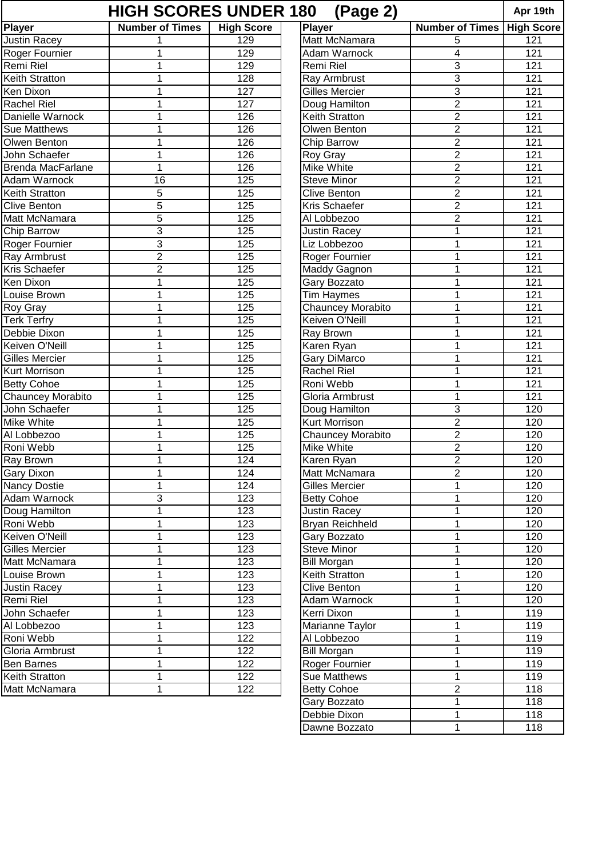| <b>HIGH SCORES UNDER 180</b><br>(Page 2) |                        |                   |                        |                        |                   |  |  |  |  |
|------------------------------------------|------------------------|-------------------|------------------------|------------------------|-------------------|--|--|--|--|
| <b>Player</b>                            | <b>Number of Times</b> | <b>High Score</b> | <b>Player</b>          | <b>Number of Times</b> | <b>High Score</b> |  |  |  |  |
| <b>Justin Racey</b>                      |                        | 129               | Matt McNamara          | 5                      | 121               |  |  |  |  |
| Roger Fournier                           | 1                      | 129               | Adam Warnock           | 4                      | 121               |  |  |  |  |
| Remi Riel                                | 1                      | 129               | Remi Riel              | 3                      | 121               |  |  |  |  |
| Keith Stratton                           | 1                      | 128               | Ray Armbrust           | 3                      | 121               |  |  |  |  |
| Ken Dixon                                | 1                      | 127               | <b>Gilles Mercier</b>  | $\overline{3}$         | 121               |  |  |  |  |
| <b>Rachel Riel</b>                       | 1                      | 127               | Doug Hamilton          | $\overline{2}$         | 121               |  |  |  |  |
| Danielle Warnock                         | 1                      | 126               | <b>Keith Stratton</b>  | $\overline{2}$         | 121               |  |  |  |  |
| <b>Sue Matthews</b>                      | 1                      | 126               | Olwen Benton           | $\overline{2}$         | 121               |  |  |  |  |
| Olwen Benton                             | 1                      | 126               | Chip Barrow            | $\overline{2}$         | 121               |  |  |  |  |
| John Schaefer                            | 1                      | 126               | Roy Gray               | $\overline{2}$         | 121               |  |  |  |  |
| <b>Brenda MacFarlane</b>                 | 1                      | 126               | <b>Mike White</b>      | $\overline{2}$         | 121               |  |  |  |  |
| Adam Warnock                             | 16                     | 125               | <b>Steve Minor</b>     | $\overline{2}$         | 121               |  |  |  |  |
| <b>Keith Stratton</b>                    | 5                      | 125               | <b>Clive Benton</b>    | $\overline{2}$         | 121               |  |  |  |  |
| <b>Clive Benton</b>                      | 5                      | 125               | Kris Schaefer          | $\overline{2}$         | 121               |  |  |  |  |
| <b>Matt McNamara</b>                     | 5                      | 125               | Al Lobbezoo            | $\overline{2}$         | 121               |  |  |  |  |
| <b>Chip Barrow</b>                       | 3                      | 125               | <b>Justin Racey</b>    | 1                      | 121               |  |  |  |  |
| Roger Fournier                           | 3                      | 125               | Liz Lobbezoo           | 1                      | 121               |  |  |  |  |
| Ray Armbrust                             | $\overline{2}$         | 125               | Roger Fournier         | 1                      | 121               |  |  |  |  |
| <b>Kris Schaefer</b>                     | $\overline{2}$         | 125               | Maddy Gagnon           | 1                      | 121               |  |  |  |  |
| Ken Dixon                                | 1                      | 125               | Gary Bozzato           | 1                      | 121               |  |  |  |  |
| Louise Brown                             |                        | 125               |                        | 1                      | 121               |  |  |  |  |
|                                          | 1                      | 125               | Tim Haymes             | 1                      | 121               |  |  |  |  |
| <b>Roy Gray</b>                          | 1                      |                   | Chauncey Morabito      |                        |                   |  |  |  |  |
| <b>Terk Terfry</b>                       |                        | 125               | Keiven O'Neill         | 1                      | 121               |  |  |  |  |
| Debbie Dixon                             | 1                      | 125               | Ray Brown              | 1                      | 121               |  |  |  |  |
| Keiven O'Neill                           | 1                      | 125               | Karen Ryan             | 1                      | 121               |  |  |  |  |
| <b>Gilles Mercier</b>                    | 1                      | 125               | <b>Gary DiMarco</b>    | 1                      | 121               |  |  |  |  |
| <b>Kurt Morrison</b>                     | 1                      | 125               | <b>Rachel Riel</b>     | 1                      | 121               |  |  |  |  |
| <b>Betty Cohoe</b>                       | 1                      | 125               | Roni Webb              | 1                      | 121               |  |  |  |  |
| <b>Chauncey Morabito</b>                 |                        | 125               | Gloria Armbrust        | 1                      | 121               |  |  |  |  |
| John Schaefer                            | 1                      | 125               | Doug Hamilton          | 3                      | 120               |  |  |  |  |
| <b>Mike White</b>                        | 1                      | 125               | Kurt Morrison          | $\overline{2}$         | 120               |  |  |  |  |
| Al Lobbezoo                              | 1                      | 125               | Chauncey Morabito      | $\overline{2}$         | 120               |  |  |  |  |
| Roni Webb                                | 1                      | 125               | Mike White             | $\overline{2}$         | 120               |  |  |  |  |
| <b>Ray Brown</b>                         |                        | 124               | Karen Ryan             | $\overline{c}$         | 120               |  |  |  |  |
| <b>Gary Dixon</b>                        |                        | 124               | Matt McNamara          | $\overline{2}$         | 120               |  |  |  |  |
| Nancy Dostie                             | 1                      | 124               | <b>Gilles Mercier</b>  | $\mathbf 1$            | 120               |  |  |  |  |
| Adam Warnock                             | 3                      | 123               | <b>Betty Cohoe</b>     | 1                      | 120               |  |  |  |  |
| Doug Hamilton                            | 1                      | 123               | <b>Justin Racey</b>    | $\mathbf{1}$           | 120               |  |  |  |  |
| Roni Webb                                | 1                      | 123               | <b>Bryan Reichheld</b> | $\mathbf 1$            | 120               |  |  |  |  |
| Keiven O'Neill                           | 1                      | 123               | Gary Bozzato           | 1                      | 120               |  |  |  |  |
| Gilles Mercier                           | 1                      | 123               | <b>Steve Minor</b>     | 1                      | 120               |  |  |  |  |
| Matt McNamara                            | 1                      | 123               | <b>Bill Morgan</b>     | 1                      | 120               |  |  |  |  |
| Louise Brown                             | 1                      | 123               | Keith Stratton         | 1                      | 120               |  |  |  |  |
| <b>Justin Racey</b>                      | 1                      | 123               | <b>Clive Benton</b>    | 1                      | 120               |  |  |  |  |
| Remi Riel                                | 1                      | 123               | Adam Warnock           | 1                      | 120               |  |  |  |  |
| John Schaefer                            | 1                      | 123               | Kerri Dixon            | 1                      | 119               |  |  |  |  |
| Al Lobbezoo                              | 1                      | 123               | Marianne Taylor        | 1                      | 119               |  |  |  |  |
| Roni Webb                                | 1                      | 122               | Al Lobbezoo            | 1                      | 119               |  |  |  |  |
| Gloria Armbrust                          | 1                      | 122               | <b>Bill Morgan</b>     | 1                      | 119               |  |  |  |  |
| <b>Ben Barnes</b>                        | 1                      | 122               | Roger Fournier         | 1                      | 119               |  |  |  |  |
| Keith Stratton                           | 1                      | 122               | <b>Sue Matthews</b>    | 1                      | 119               |  |  |  |  |
| Matt McNamara                            | 1                      | 122               | <b>Betty Cohoe</b>     | 2                      | 118               |  |  |  |  |
|                                          |                        |                   | Gary Bozzato           | $\mathbf 1$            | 118               |  |  |  |  |
|                                          |                        |                   | Debbie Dixon           | $\mathbf 1$            | 118               |  |  |  |  |

Dawne Bozzato 1 118